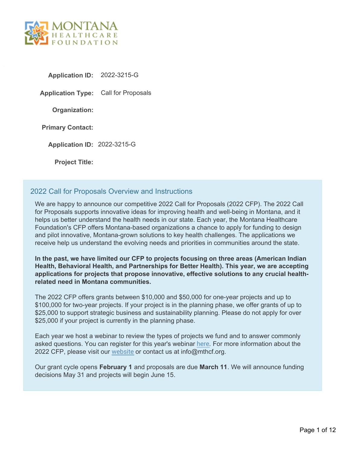

**Application ID:** 2022-3215-G

**Application Type:** Call for Proposals

**Organization:**

**Primary Contact:**

**Application ID:** 2022-3215-G

**Project Title:**

### 2022 Call for Proposals Overview and Instructions

We are happy to announce our competitive 2022 Call for Proposals (2022 CFP). The 2022 Call for Proposals supports innovative ideas for improving health and well-being in Montana, and it helps us better understand the health needs in our state. Each year, the Montana Healthcare Foundation's CFP offers Montana-based organizations a chance to apply for funding to design and pilot innovative, Montana-grown solutions to key health challenges. The applications we receive help us understand the evolving needs and priorities in communities around the state.

**In the past, we have limited our CFP to projects focusing on three areas (American Indian Health, Behavioral Health, and Partnerships for Better Health). This year, we are accepting applications for projects that propose innovative, effective solutions to any crucial healthrelated need in Montana communities.**

The 2022 CFP offers grants between \$10,000 and \$50,000 for one-year projects and up to \$100,000 for two-year projects. If your project is in the planning phase, we offer grants of up to \$25,000 to support strategic business and sustainability planning. Please do not apply for over \$25,000 if your project is currently in the planning phase.

Each year we host a webinar to review the types of projects we fund and to answer commonly asked questions. You can register for this year's webinar [here](https://us02web.zoom.us/webinar/register/WN_m0pGoVwTRzGXvJZEwk6Tuw). For more information about the 2022 CFP, please visit our [website](https://mthcf.org/grants/2022-call-for-proposals/) or contact us at info@mthcf.org.

Our grant cycle opens **February 1** and proposals are due **March 11**. We will announce funding decisions May 31 and projects will begin June 15.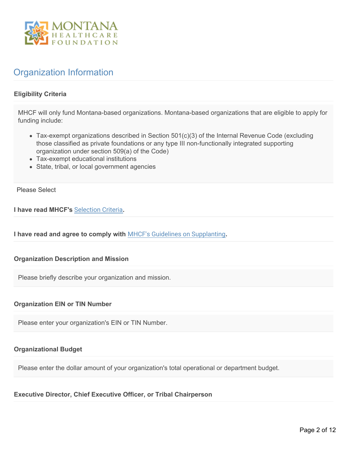

# Organization Information

#### **Eligibility Criteria**

MHCF will only fund Montana-based organizations. Montana-based organizations that are eligible to apply for funding include:

- Tax-exempt organizations described in Section 501(c)(3) of the Internal Revenue Code (excluding those classified as private foundations or any type III non-functionally integrated supporting organization under section 509(a) of the Code)
- Tax-exempt educational institutions
- State, tribal, or local government agencies

Please Select

**I have read MHCF's** [Selection Criteria](https://mthcf.org/selection-criteria/)**.**

**I have read and agree to comply with** [MHCF's Guidelines on Supplanting](https://mthcf.org/wp-content/uploads/2018/01/Guidelines-on-Supplanting.pdf)**.**

#### **Organization Description and Mission**

Please briefly describe your organization and mission.

#### **Organization EIN or TIN Number**

Please enter your organization's EIN or TIN Number.

#### **Organizational Budget**

Please enter the dollar amount of your organization's total operational or department budget.

**Executive Director, Chief Executive Officer, or Tribal Chairperson**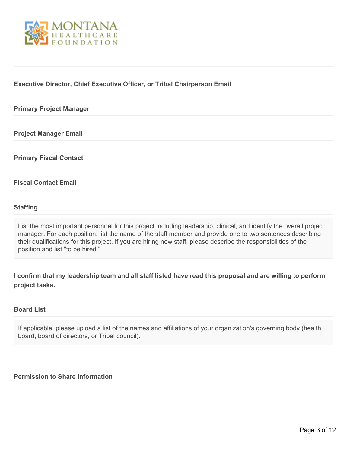

#### **Executive Director, Chief Executive Officer, or Tribal Chairperson Email**

#### **Primary Project Manager**

**Project Manager Email**

**Primary Fiscal Contact**

#### **Fiscal Contact Email**

#### **Staffing**

List the most important personnel for this project including leadership, clinical, and identify the overall project manager. For each position, list the name of the staff member and provide one to two sentences describing their qualifications for this project. If you are hiring new staff, please describe the responsibilities of the position and list "to be hired."

**I confirm that my leadership team and all staff listed have read this proposal and are willing to perform project tasks.**

#### **Board List**

If applicable, please upload a list of the names and affiliations of your organization's governing body (health board, board of directors, or Tribal council).

#### **Permission to Share Information**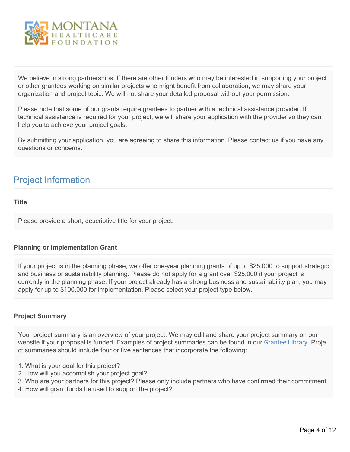

We believe in strong partnerships. If there are other funders who may be interested in supporting your project or other grantees working on similar projects who might benefit from collaboration, we may share your organization and project topic. We will not share your detailed proposal without your permission.

Please note that some of our grants require grantees to partner with a technical assistance provider. If technical assistance is required for your project, we will share your application with the provider so they can help you to achieve your project goals.

By submitting your application, you are agreeing to share this information. Please contact us if you have any questions or concerns.

### Project Information

#### **Title**

Please provide a short, descriptive title for your project.

#### **Planning or Implementation Grant**

If your project is in the planning phase, we offer one-year planning grants of up to \$25,000 to support strategic and business or sustainability planning. Please do not apply for a grant over \$25,000 if your project is currently in the planning phase. If your project already has a strong business and sustainability plan, you may apply for up to \$100,000 for implementation. Please select your project type below.

#### **Project Summary**

Your project summary is an overview of your project. We may edit and share your project summary on our website if your proposal is funded. Examples of project summaries can be found in our [Grantee Library](https://mthcf.org/grantee-library/). Proje ct summaries should include four or five sentences that incorporate the following:

- 1. What is your goal for this project?
- 2. How will you accomplish your project goal?
- 3. Who are your partners for this project? Please only include partners who have confirmed their commitment.
- 4. How will grant funds be used to support the project?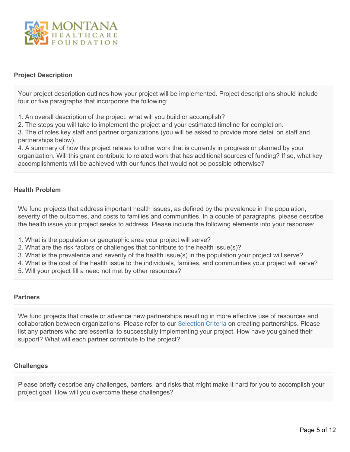

#### **Project Description**

Your project description outlines how your project will be implemented. Project descriptions should include four or five paragraphs that incorporate the following:

1. An overall description of the project: what will you build or accomplish?

2. The steps you will take to implement the project and your estimated timeline for completion.

3. The of roles key staff and partner organizations (you will be asked to provide more detail on staff and partnerships below).

4. A summary of how this project relates to other work that is currently in progress or planned by your organization. Will this grant contribute to related work that has additional sources of funding? If so, what key accomplishments will be achieved with our funds that would not be possible otherwise?

#### **Health Problem**

We fund projects that address important health issues, as defined by the prevalence in the population, severity of the outcomes, and costs to families and communities. In a couple of paragraphs, please describe the health issue your project seeks to address. Please include the following elements into your response:

- 1. What is the population or geographic area your project will serve?
- 2. What are the risk factors or challenges that contribute to the health issue(s)?
- 3. What is the prevalence and severity of the health issue(s) in the population your project will serve?
- 4. What is the cost of the health issue to the individuals, families, and communities your project will serve?
- 5. Will your project fill a need not met by other resources?

#### **Partners**

We fund projects that create or advance new partnerships resulting in more effective use of resources and collaboration between organizations. Please refer to our [Selection Criteria](https://mthcf.org/what-we-do-and-do-not-fund/) on creating partnerships. Please list any partners who are essential to successfully implementing your project. How have you gained their support? What will each partner contribute to the project?

#### **Challenges**

Please briefly describe any challenges, barriers, and risks that might make it hard for you to accomplish your project goal. How will you overcome these challenges?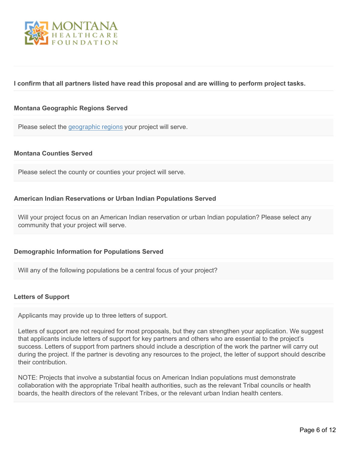

#### **I confirm that all partners listed have read this proposal and are willing to perform project tasks.**

#### **Montana Geographic Regions Served**

Please select the [geographic regions](https://mthcf.org/wp-content/uploads/2018/05/MT-Regions-Map_bright.jpg) your project will serve.

#### **Montana Counties Served**

Please select the county or counties your project will serve.

#### **American Indian Reservations or Urban Indian Populations Served**

Will your project focus on an American Indian reservation or urban Indian population? Please select any community that your project will serve.

#### **Demographic Information for Populations Served**

Will any of the following populations be a central focus of your project?

#### **Letters of Support**

Applicants may provide up to three letters of support.

Letters of support are not required for most proposals, but they can strengthen your application. We suggest that applicants include letters of support for key partners and others who are essential to the project's success. Letters of support from partners should include a description of the work the partner will carry out during the project. If the partner is devoting any resources to the project, the letter of support should describe their contribution.

NOTE: Projects that involve a substantial focus on American Indian populations must demonstrate collaboration with the appropriate Tribal health authorities, such as the relevant Tribal councils or health boards, the health directors of the relevant Tribes, or the relevant urban Indian health centers.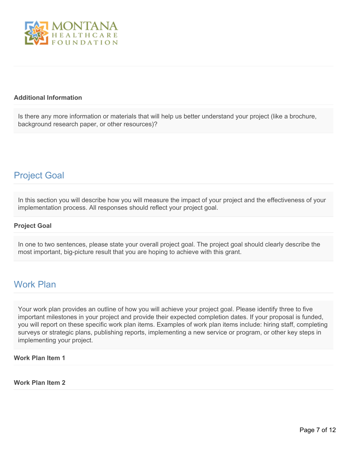

#### **Additional Information**

Is there any more information or materials that will help us better understand your project (like a brochure, background research paper, or other resources)?

### Project Goal

In this section you will describe how you will measure the impact of your project and the effectiveness of your implementation process. All responses should reflect your project goal.

#### **Project Goal**

In one to two sentences, please state your overall project goal. The project goal should clearly describe the most important, big-picture result that you are hoping to achieve with this grant.

### Work Plan

Your work plan provides an outline of how you will achieve your project goal. Please identify three to five important milestones in your project and provide their expected completion dates. If your proposal is funded, you will report on these specific work plan items. Examples of work plan items include: hiring staff, completing surveys or strategic plans, publishing reports, implementing a new service or program, or other key steps in implementing your project.

### **Work Plan Item 1**

#### **Work Plan Item 2**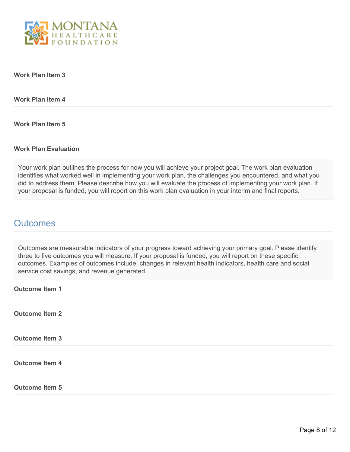

#### **Work Plan Item 3**

**Work Plan Item 4**

**Work Plan Item 5**

#### **Work Plan Evaluation**

Your work plan outlines the process for how you will achieve your project goal. The work plan evaluation identifies what worked well in implementing your work plan, the challenges you encountered, and what you did to address them. Please describe how you will evaluate the process of implementing your work plan. If your proposal is funded, you will report on this work plan evaluation in your interim and final reports.

### **Outcomes**

Outcomes are measurable indicators of your progress toward achieving your primary goal. Please identify three to five outcomes you will measure. If your proposal is funded, you will report on these specific outcomes. Examples of outcomes include: changes in relevant health indicators, health care and social service cost savings, and revenue generated.

| <b>Outcome Item 1</b> |  |  |  |
|-----------------------|--|--|--|
| <b>Outcome Item 2</b> |  |  |  |
| <b>Outcome Item 3</b> |  |  |  |
| <b>Outcome Item 4</b> |  |  |  |
| <b>Outcome Item 5</b> |  |  |  |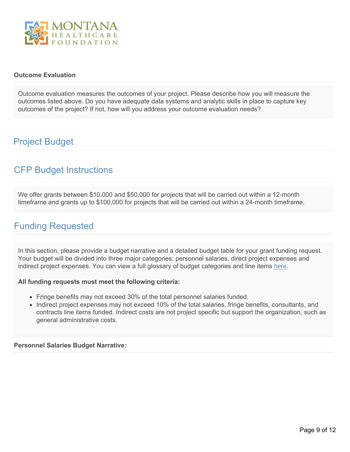

#### **Outcome Evaluation**

Outcome evaluation measures the outcomes of your project. Please describe how you will measure the outcomes listed above. Do you have adequate data systems and analytic skills in place to capture key outcomes of the project? If not, how will you address your outcome evaluation needs?

## Project Budget

# CFP Budget Instructions

We offer grants between \$10,000 and \$50,000 for projects that will be carried out within a 12-month timeframe and grants up to \$100,000 for projects that will be carried out within a 24-month timeframe.

### Funding Requested

In this section, please provide a budget narrative and a detailed budget table for your grant funding request. Your budget will be divided into three major categories: personnel salaries, direct project expenses and indirect project expenses. You can view a full glossary of budget categories and line items [here](https://montanahealth.smartsimple.com/files/1593906/f166018/MHCF_Budget_Glossary.pdf).

#### **All funding requests must meet the following criteria:**

- Fringe benefits may not exceed 30% of the total personnel salaries funded.
- Indirect project expenses may not exceed 10% of the total salaries, fringe benefits, consultants, and contracts line items funded. Indirect costs are not project specific but support the organization, such as general administrative costs.

#### **Personnel Salaries Budget Narrative:**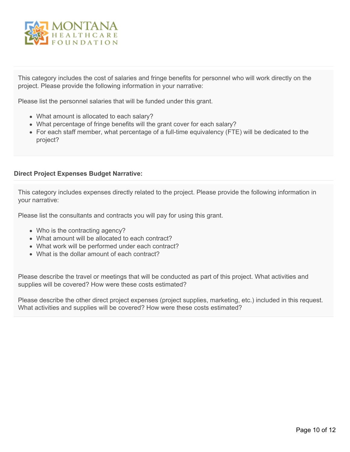

This category includes the cost of salaries and fringe benefits for personnel who will work directly on the project. Please provide the following information in your narrative:

Please list the personnel salaries that will be funded under this grant.

- What amount is allocated to each salary?
- What percentage of fringe benefits will the grant cover for each salary?
- For each staff member, what percentage of a full-time equivalency (FTE) will be dedicated to the project?

#### **Direct Project Expenses Budget Narrative:**

This category includes expenses directly related to the project. Please provide the following information in your narrative:

Please list the consultants and contracts you will pay for using this grant.

- Who is the contracting agency?
- What amount will be allocated to each contract?
- What work will be performed under each contract?
- What is the dollar amount of each contract?

Please describe the travel or meetings that will be conducted as part of this project. What activities and supplies will be covered? How were these costs estimated?

Please describe the other direct project expenses (project supplies, marketing, etc.) included in this request. What activities and supplies will be covered? How were these costs estimated?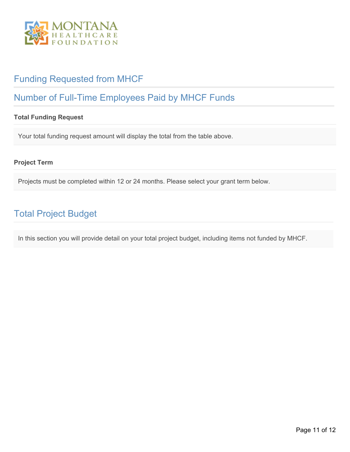

# Funding Requested from MHCF

# Number of Full-Time Employees Paid by MHCF Funds

### **Total Funding Request**

Your total funding request amount will display the total from the table above.

#### **Project Term**

Projects must be completed within 12 or 24 months. Please select your grant term below.

# Total Project Budget

In this section you will provide detail on your total project budget, including items not funded by MHCF.